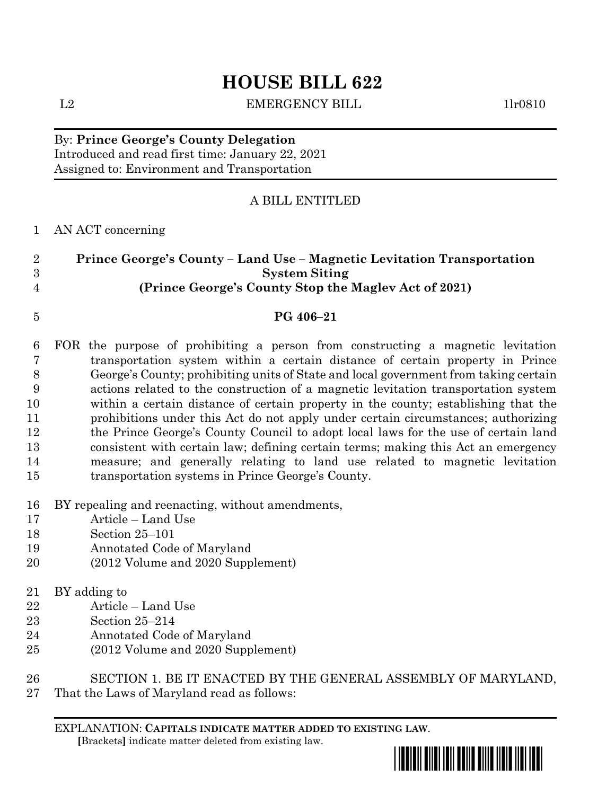# **HOUSE BILL 622**

L2 EMERGENCY BILL 1lr0810

## By: **Prince George's County Delegation** Introduced and read first time: January 22, 2021 Assigned to: Environment and Transportation

## A BILL ENTITLED

## AN ACT concerning

| Prince George's County – Land Use – Magnetic Levitation Transportation |
|------------------------------------------------------------------------|
| <b>System Siting</b>                                                   |
| (Prince George's County Stop the Magley Act of 2021)                   |

## **PG 406–21**

- FOR the purpose of prohibiting a person from constructing a magnetic levitation transportation system within a certain distance of certain property in Prince George's County; prohibiting units of State and local government from taking certain actions related to the construction of a magnetic levitation transportation system within a certain distance of certain property in the county; establishing that the prohibitions under this Act do not apply under certain circumstances; authorizing the Prince George's County Council to adopt local laws for the use of certain land consistent with certain law; defining certain terms; making this Act an emergency measure; and generally relating to land use related to magnetic levitation transportation systems in Prince George's County.
- BY repealing and reenacting, without amendments,
- Article Land Use
- Section 25–101
- Annotated Code of Maryland
- (2012 Volume and 2020 Supplement)
- BY adding to
- Article Land Use
- Section 25–214
- Annotated Code of Maryland
- (2012 Volume and 2020 Supplement)
- SECTION 1. BE IT ENACTED BY THE GENERAL ASSEMBLY OF MARYLAND,
- That the Laws of Maryland read as follows:

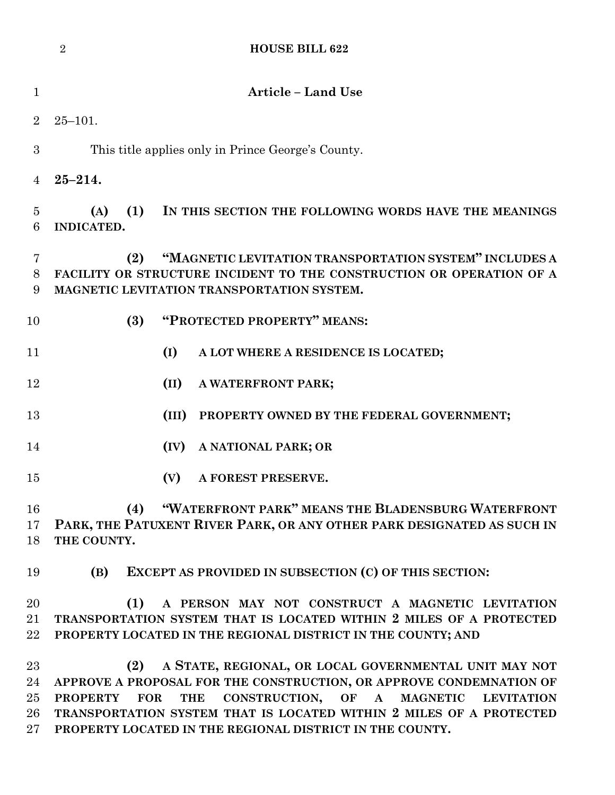|                     | <b>HOUSE BILL 622</b><br>$\overline{2}$                                                                                                                                             |
|---------------------|-------------------------------------------------------------------------------------------------------------------------------------------------------------------------------------|
| $\mathbf{1}$        | <b>Article - Land Use</b>                                                                                                                                                           |
| $\overline{2}$      | $25 - 101.$                                                                                                                                                                         |
| 3                   | This title applies only in Prince George's County.                                                                                                                                  |
| $\overline{4}$      | $25 - 214.$                                                                                                                                                                         |
| $\overline{5}$<br>6 | (1)<br>IN THIS SECTION THE FOLLOWING WORDS HAVE THE MEANINGS<br>(A)<br><b>INDICATED.</b>                                                                                            |
| 7<br>8<br>9         | "MAGNETIC LEVITATION TRANSPORTATION SYSTEM" INCLUDES A<br>(2)<br>FACILITY OR STRUCTURE INCIDENT TO THE CONSTRUCTION OR OPERATION OF A<br>MAGNETIC LEVITATION TRANSPORTATION SYSTEM. |
| 10                  | "PROTECTED PROPERTY" MEANS:<br>(3)                                                                                                                                                  |
| 11                  | (I)<br>A LOT WHERE A RESIDENCE IS LOCATED;                                                                                                                                          |
| 12                  | (II)<br>A WATERFRONT PARK;                                                                                                                                                          |
| 13                  | (III)<br>PROPERTY OWNED BY THE FEDERAL GOVERNMENT;                                                                                                                                  |
| 14                  | (IV)<br>A NATIONAL PARK; OR                                                                                                                                                         |
| 15                  | (V)<br>A FOREST PRESERVE.                                                                                                                                                           |
| 16                  | "WATERFRONT PARK" MEANS THE BLADENSBURG WATERFRONT<br>(4)                                                                                                                           |
| 17<br>18            | PARK, THE PATUXENT RIVER PARK, OR ANY OTHER PARK DESIGNATED AS SUCH IN<br>THE COUNTY.                                                                                               |
| 19                  | EXCEPT AS PROVIDED IN SUBSECTION (C) OF THIS SECTION:<br>(B)                                                                                                                        |
| 20                  | (1)<br>A PERSON MAY NOT CONSTRUCT A MAGNETIC LEVITATION                                                                                                                             |
| 21                  | TRANSPORTATION SYSTEM THAT IS LOCATED WITHIN 2 MILES OF A PROTECTED                                                                                                                 |
| 22                  | PROPERTY LOCATED IN THE REGIONAL DISTRICT IN THE COUNTY; AND                                                                                                                        |
| $23\,$              | (2)<br>A STATE, REGIONAL, OR LOCAL GOVERNMENTAL UNIT MAY NOT                                                                                                                        |
| 24                  | APPROVE A PROPOSAL FOR THE CONSTRUCTION, OR APPROVE CONDEMNATION OF                                                                                                                 |
| 25                  | CONSTRUCTION, OF<br>${\bf A}$<br><b>PROPERTY</b><br><b>FOR</b><br><b>THE</b><br><b>MAGNETIC</b><br><b>LEVITATION</b>                                                                |
| 26                  | TRANSPORTATION SYSTEM THAT IS LOCATED WITHIN 2 MILES OF A PROTECTED                                                                                                                 |
| $27\,$              | PROPERTY LOCATED IN THE REGIONAL DISTRICT IN THE COUNTY.                                                                                                                            |